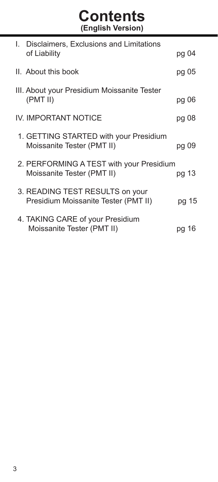# **Contents (English Version)**

| I. | Disclaimers, Exclusions and Limitations     |       |
|----|---------------------------------------------|-------|
|    | of Liability                                | pg 04 |
|    | II. About this book                         | pg 05 |
|    | III. About your Presidium Moissanite Tester |       |
|    | (PMT II)                                    | pg 06 |
|    | IV. IMPORTANT NOTICE                        | pg 08 |
|    | 1. GETTING STARTED with your Presidium      |       |
|    | Moissanite Tester (PMT II)                  | pg 09 |
|    | 2. PERFORMING A TEST with your Presidium    |       |
|    | Moissanite Tester (PMT II)                  | pg 13 |
|    | 3. READING TEST RESULTS on your             |       |
|    | Presidium Moissanite Tester (PMT II)        | pg 15 |
|    | 4. TAKING CARE of your Presidium            |       |
|    | Moissanite Tester (PMT II)                  | pg 16 |
|    |                                             |       |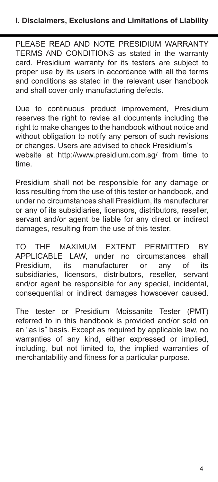PLEASE READ AND NOTE PRESIDIUM WARRANTY TERMS AND CONDITIONS as stated in the warranty card. Presidium warranty for its testers are subject to proper use by its users in accordance with all the terms and conditions as stated in the relevant user handbook and shall cover only manufacturing defects.

Due to continuous product improvement, Presidium reserves the right to revise all documents including the right to make changes to the handbook without notice and without obligation to notify any person of such revisions or changes. Users are advised to check Presidium's website at http://www.presidium.com.sg/ from time to time.

Presidium shall not be responsible for any damage or loss resulting from the use of this tester or handbook, and under no circumstances shall Presidium, its manufacturer or any of its subsidiaries, licensors, distributors, reseller, servant and/or agent be liable for any direct or indirect damages, resulting from the use of this tester.

TO THE MAXIMUM EXTENT PERMITTED BY APPLICABLE LAW, under no circumstances shall manufacturer or any of subsidiaries, licensors, distributors, reseller, servant and/or agent be responsible for any special, incidental, consequential or indirect damages howsoever caused.

The tester or Presidium Moissanite Tester (PMT) referred to in this handbook is provided and/or sold on an "as is" basis. Except as required by applicable law, no warranties of any kind, either expressed or implied, including, but not limited to, the implied warranties of merchantability and fitness for a particular purpose.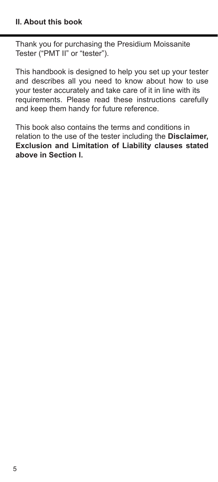Thank you for purchasing the Presidium Moissanite Tester ("PMT II" or "tester").

This handbook is designed to help you set up your tester and describes all you need to know about how to use your tester accurately and take care of it in line with its requirements. Please read these instructions carefully and keep them handy for future reference.

This book also contains the terms and conditions in relation to the use of the tester including the **Disclaimer, Exclusion and Limitation of Liability clauses stated above in Section I.**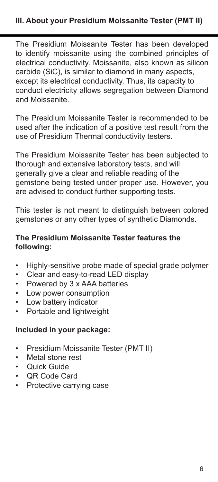The Presidium Moissanite Tester has been developed to identify moissanite using the combined principles of electrical conductivity. Moissanite, also known as silicon carbide (SiC), is similar to diamond in many aspects, except its electrical conductivity. Thus, its capacity to conduct electricity allows segregation between Diamond and Moissanite.

The Presidium Moissanite Tester is recommended to be used after the indication of a positive test result from the use of Presidium Thermal conductivity testers.

The Presidium Moissanite Tester has been subjected to thorough and extensive laboratory tests, and will generally give a clear and reliable reading of the gemstone being tested under proper use. However, you are advised to conduct further supporting tests.

This tester is not meant to distinguish between colored gemstones or any other types of synthetic Diamonds.

## **The Presidium Moissanite Tester features the following:**

- Highly-sensitive probe made of special grade polymer
- Clear and easy-to-read LED display
- Powered by 3 x AAA batteries
- Low power consumption
- Low battery indicator
- Portable and lightweight

#### **Included in your package:**

- Presidium Moissanite Tester (PMT II)
- Metal stone rest<br>• Quick Guide
- Quick Guide
- QR Code Card
- Protective carrying case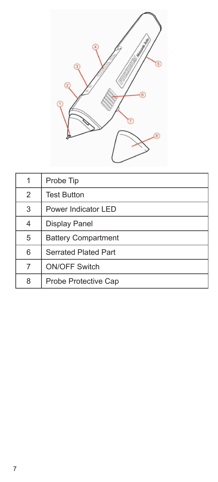

| 1              | Probe Tip                   |
|----------------|-----------------------------|
| $\overline{2}$ | <b>Test Button</b>          |
| 3              | Power Indicator LED         |
| 4              | Display Panel               |
| 5              | <b>Battery Compartment</b>  |
| 6              | <b>Serrated Plated Part</b> |
| 7              | <b>ON/OFF Switch</b>        |
| 8              | Probe Protective Cap        |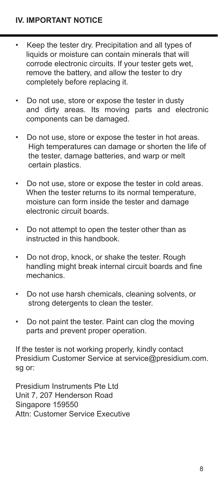- Keep the tester dry. Precipitation and all types of liquids or moisture can contain minerals that will corrode electronic circuits. If your tester gets wet, remove the battery, and allow the tester to dry completely before replacing it.
- Do not use, store or expose the tester in dusty and dirty areas. Its moving parts and electronic components can be damaged.
- Do not use, store or expose the tester in hot areas. High temperatures can damage or shorten the life of the tester, damage batteries, and warp or melt certain plastics.
- Do not use, store or expose the tester in cold areas. When the tester returns to its normal temperature moisture can form inside the tester and damage electronic circuit boards.
- Do not attempt to open the tester other than as instructed in this handbook.
- Do not drop, knock, or shake the tester. Rough handling might break internal circuit boards and fine mechanics.
- Do not use harsh chemicals, cleaning solvents, or strong detergents to clean the tester.
- Do not paint the tester. Paint can clog the moving parts and prevent proper operation.

If the tester is not working properly, kindly contact Presidium Customer Service at service@presidium.com. sg or:

Presidium Instruments Pte Ltd Unit 7, 207 Henderson Road Singapore 159550 Attn: Customer Service Executive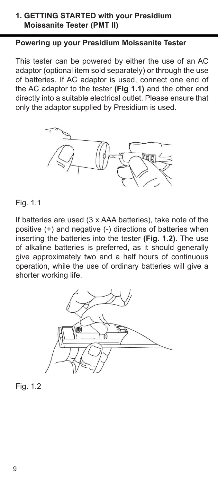#### **1. GETTING STARTED with your Presidium Moissanite Tester (PMT II)**

## **Powering up your Presidium Moissanite Tester**

This tester can be powered by either the use of an AC adaptor (optional item sold separately) or through the use of batteries. If AC adaptor is used, connect one end of the AC adaptor to the tester **(Fig 1.1)** and the other end directly into a suitable electrical outlet. Please ensure that only the adaptor supplied by Presidium is used.



#### Fig. 1.1

If batteries are used (3 x AAA batteries), take note of the positive (+) and negative (-) directions of batteries when inserting the batteries into the tester **(Fig. 1.2).** The use of alkaline batteries is preferred, as it should generally give approximately two and a half hours of continuous operation, while the use of ordinary batteries will give a shorter working life.



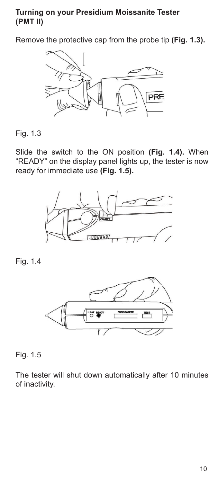#### **Turning on your Presidium Moissanite Tester (PMT II)**

Remove the protective cap from the probe tip **(Fig. 1.3).** 



Fig. 1.3

Slide the switch to the ON position **(Fig. 1.4).** When "READY" on the display panel lights up, the tester is now ready for immediate use **(Fig. 1.5).**



Fig. 1.4



Fig. 1.5

The tester will shut down automatically after 10 minutes of inactivity.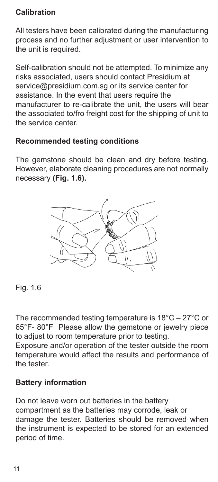## **Calibration**

All testers have been calibrated during the manufacturing process and no further adjustment or user intervention to the unit is required.

Self-calibration should not be attempted. To minimize any risks associated, users should contact Presidium at service@presidium.com.sg or its service center for assistance. In the event that users require the manufacturer to re-calibrate the unit, the users will bear the associated to/fro freight cost for the shipping of unit to the service center.

### **Recommended testing conditions**

The gemstone should be clean and dry before testing. However, elaborate cleaning procedures are not normally necessary **(Fig. 1.6).**



Fig. 1.6

The recommended testing temperature is 18°C – 27°C or 65°F- 80°F Please allow the gemstone or jewelry piece to adjust to room temperature prior to testing.

Exposure and/or operation of the tester outside the room temperature would affect the results and performance of the tester.

### **Battery information**

Do not leave worn out batteries in the battery compartment as the batteries may corrode, leak or damage the tester. Batteries should be removed when the instrument is expected to be stored for an extended period of time.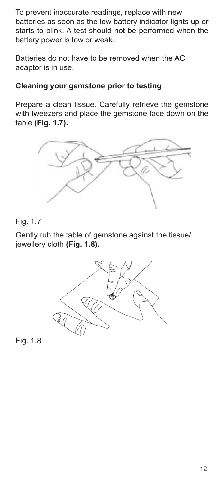To prevent inaccurate readings, replace with new batteries as soon as the low battery indicator lights up or starts to blink. A test should not be performed when the battery power is low or weak.

Batteries do not have to be removed when the AC adaptor is in use.

## **Cleaning your gemstone prior to testing**

Prepare a clean tissue. Carefully retrieve the gemstone with tweezers and place the gemstone face down on the table **(Fig. 1.7).** 



## Fig. 1.7

Gently rub the table of gemstone against the tissue/ jewellery cloth **(Fig. 1.8).** 



Fig. 1.8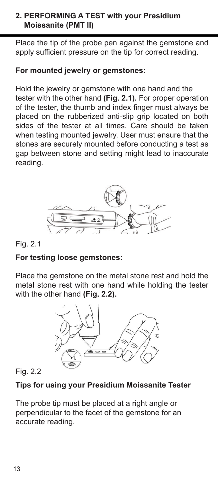## **2. PERFORMING A TEST with your Presidium Moissanite (PMT II)**

Place the tip of the probe pen against the gemstone and apply sufficient pressure on the tip for correct reading.

## **For mounted jewelry or gemstones:**

Hold the jewelry or gemstone with one hand and the tester with the other hand **(Fig. 2.1).** For proper operation of the tester, the thumb and index finger must always be placed on the rubberized anti-slip grip located on both sides of the tester at all times. Care should be taken when testing mounted jewelry. User must ensure that the stones are securely mounted before conducting a test as gap between stone and setting might lead to inaccurate reading.



## Fig. 2.1

## **For testing loose gemstones:**

Place the gemstone on the metal stone rest and hold the metal stone rest with one hand while holding the tester with the other hand **(Fig. 2.2).** 



## Fig. 2.2

## **Tips for using your Presidium Moissanite Tester**

The probe tip must be placed at a right angle or perpendicular to the facet of the gemstone for an accurate reading.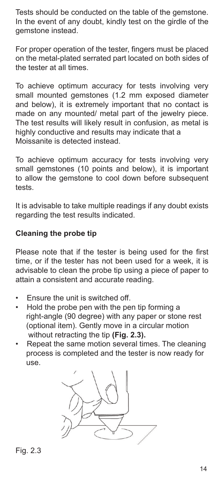Tests should be conducted on the table of the gemstone. In the event of any doubt, kindly test on the girdle of the gemstone instead.

For proper operation of the tester, fingers must be placed on the metal-plated serrated part located on both sides of the tester at all times.

To achieve optimum accuracy for tests involving very small mounted gemstones (1.2 mm exposed diameter and below), it is extremely important that no contact is made on any mounted/ metal part of the jewelry piece. The test results will likely result in confusion, as metal is highly conductive and results may indicate that a Moissanite is detected instead.

To achieve optimum accuracy for tests involving very small gemstones (10 points and below), it is important to allow the gemstone to cool down before subsequent tests.

It is advisable to take multiple readings if any doubt exists regarding the test results indicated.

# **Cleaning the probe tip**

Please note that if the tester is being used for the first time, or if the tester has not been used for a week, it is advisable to clean the probe tip using a piece of paper to attain a consistent and accurate reading.

- Ensure the unit is switched off.
- Hold the probe pen with the pen tip forming a right-angle (90 degree) with any paper or stone rest (optional item). Gently move in a circular motion without retracting the tip **(Fig. 2.3).**
- Repeat the same motion several times. The cleaning process is completed and the tester is now ready for use.

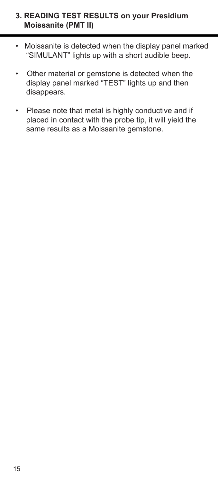### **3. READING TEST RESULTS on your Presidium Moissanite (PMT II)**

- Moissanite is detected when the display panel marked "SIMULANT" lights up with a short audible beep.
- Other material or gemstone is detected when the display panel marked "TEST" lights up and then disappears.
- Please note that metal is highly conductive and if placed in contact with the probe tip, it will yield the same results as a Moissanite gemstone.